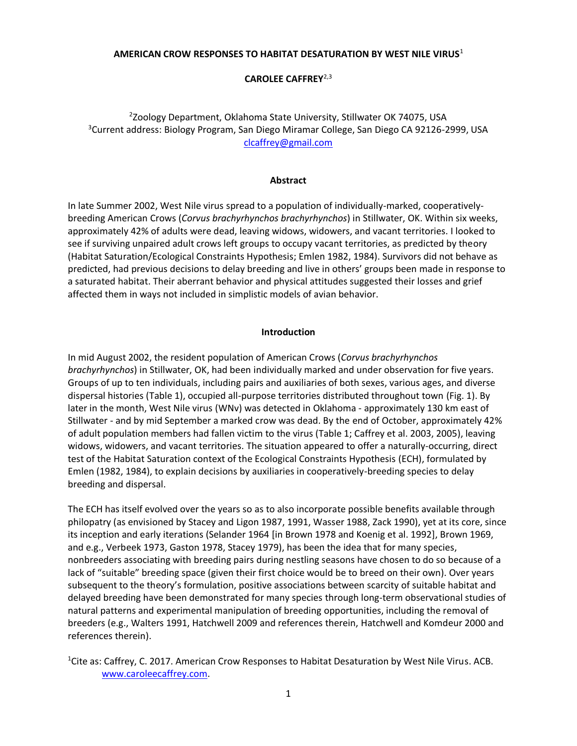## **AMERICAN CROW RESPONSES TO HABITAT DESATURATION BY WEST NILE VIRUS**<sup>1</sup>

# **CAROLEE CAFFREY**2,3

# 2 Zoology Department, Oklahoma State University, Stillwater OK 74075, USA <sup>3</sup>Current address: Biology Program, San Diego Miramar College, San Diego CA 92126-2999, USA [clcaffrey@gmail.com](mailto:clcaffrey@gmail.com)

### **Abstract**

In late Summer 2002, West Nile virus spread to a population of individually-marked, cooperativelybreeding American Crows (*Corvus brachyrhynchos brachyrhynchos*) in Stillwater, OK. Within six weeks, approximately 42% of adults were dead, leaving widows, widowers, and vacant territories. I looked to see if surviving unpaired adult crows left groups to occupy vacant territories, as predicted by theory (Habitat Saturation/Ecological Constraints Hypothesis; Emlen 1982, 1984). Survivors did not behave as predicted, had previous decisions to delay breeding and live in others' groups been made in response to a saturated habitat. Their aberrant behavior and physical attitudes suggested their losses and grief affected them in ways not included in simplistic models of avian behavior.

#### **Introduction**

In mid August 2002, the resident population of American Crows (*Corvus brachyrhynchos brachyrhynchos*) in Stillwater, OK, had been individually marked and under observation for five years. Groups of up to ten individuals, including pairs and auxiliaries of both sexes, various ages, and diverse dispersal histories (Table 1), occupied all-purpose territories distributed throughout town (Fig. 1). By later in the month, West Nile virus (WNv) was detected in Oklahoma - approximately 130 km east of Stillwater - and by mid September a marked crow was dead. By the end of October, approximately 42% of adult population members had fallen victim to the virus (Table 1; Caffrey et al. 2003, 2005), leaving widows, widowers, and vacant territories. The situation appeared to offer a naturally-occurring, direct test of the Habitat Saturation context of the Ecological Constraints Hypothesis (ECH), formulated by Emlen (1982, 1984), to explain decisions by auxiliaries in cooperatively-breeding species to delay breeding and dispersal.

The ECH has itself evolved over the years so as to also incorporate possible benefits available through philopatry (as envisioned by Stacey and Ligon 1987, 1991, Wasser 1988, Zack 1990), yet at its core, since its inception and early iterations (Selander 1964 [in Brown 1978 and Koenig et al. 1992], Brown 1969, and e.g., Verbeek 1973, Gaston 1978, Stacey 1979), has been the idea that for many species, nonbreeders associating with breeding pairs during nestling seasons have chosen to do so because of a lack of "suitable" breeding space (given their first choice would be to breed on their own). Over years subsequent to the theory's formulation, positive associations between scarcity of suitable habitat and delayed breeding have been demonstrated for many species through long-term observational studies of natural patterns and experimental manipulation of breeding opportunities, including the removal of breeders (e.g., Walters 1991, Hatchwell 2009 and references therein, Hatchwell and Komdeur 2000 and references therein).

<sup>1</sup>Cite as: Caffrey, C. 2017. American Crow Responses to Habitat Desaturation by West Nile Virus. ACB. [www.caroleecaffrey.com.](http://www.caroleecaffrey.com/)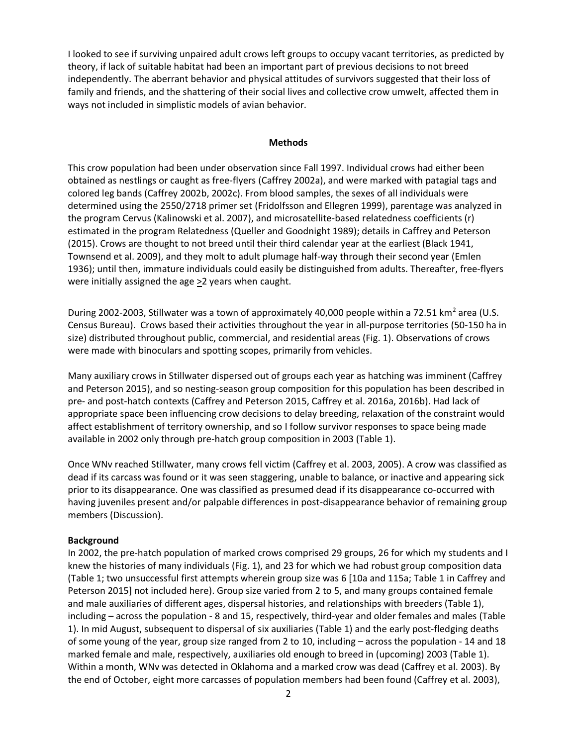I looked to see if surviving unpaired adult crows left groups to occupy vacant territories, as predicted by theory, if lack of suitable habitat had been an important part of previous decisions to not breed independently. The aberrant behavior and physical attitudes of survivors suggested that their loss of family and friends, and the shattering of their social lives and collective crow umwelt, affected them in ways not included in simplistic models of avian behavior.

### **Methods**

This crow population had been under observation since Fall 1997. Individual crows had either been obtained as nestlings or caught as free-flyers (Caffrey 2002a), and were marked with patagial tags and colored leg bands (Caffrey 2002b, 2002c). From blood samples, the sexes of all individuals were determined using the 2550/2718 primer set (Fridolfsson and Ellegren 1999), parentage was analyzed in the program Cervus (Kalinowski et al. 2007), and microsatellite-based relatedness coefficients (r) estimated in the program Relatedness (Queller and Goodnight 1989); details in Caffrey and Peterson (2015). Crows are thought to not breed until their third calendar year at the earliest (Black 1941, Townsend et al. 2009), and they molt to adult plumage half-way through their second year (Emlen 1936); until then, immature individuals could easily be distinguished from adults. Thereafter, free-flyers were initially assigned the age  $\geq 2$  years when caught.

During 2002-2003, Stillwater was a town of approximately 40,000 people within a 72.51 km<sup>2</sup> area (U.S. Census Bureau). Crows based their activities throughout the year in all-purpose territories (50-150 ha in size) distributed throughout public, commercial, and residential areas (Fig. 1). Observations of crows were made with binoculars and spotting scopes, primarily from vehicles.

Many auxiliary crows in Stillwater dispersed out of groups each year as hatching was imminent (Caffrey and Peterson 2015), and so nesting-season group composition for this population has been described in pre- and post-hatch contexts (Caffrey and Peterson 2015, Caffrey et al. 2016a, 2016b). Had lack of appropriate space been influencing crow decisions to delay breeding, relaxation of the constraint would affect establishment of territory ownership, and so I follow survivor responses to space being made available in 2002 only through pre-hatch group composition in 2003 (Table 1).

Once WNv reached Stillwater, many crows fell victim (Caffrey et al. 2003, 2005). A crow was classified as dead if its carcass was found or it was seen staggering, unable to balance, or inactive and appearing sick prior to its disappearance. One was classified as presumed dead if its disappearance co-occurred with having juveniles present and/or palpable differences in post-disappearance behavior of remaining group members (Discussion).

## **Background**

In 2002, the pre-hatch population of marked crows comprised 29 groups, 26 for which my students and I knew the histories of many individuals (Fig. 1), and 23 for which we had robust group composition data (Table 1; two unsuccessful first attempts wherein group size was 6 [10a and 115a; Table 1 in Caffrey and Peterson 2015] not included here). Group size varied from 2 to 5, and many groups contained female and male auxiliaries of different ages, dispersal histories, and relationships with breeders (Table 1), including – across the population - 8 and 15, respectively, third-year and older females and males (Table 1). In mid August, subsequent to dispersal of six auxiliaries (Table 1) and the early post-fledging deaths of some young of the year, group size ranged from 2 to 10, including – across the population - 14 and 18 marked female and male, respectively, auxiliaries old enough to breed in (upcoming) 2003 (Table 1). Within a month, WNv was detected in Oklahoma and a marked crow was dead (Caffrey et al. 2003). By the end of October, eight more carcasses of population members had been found (Caffrey et al. 2003),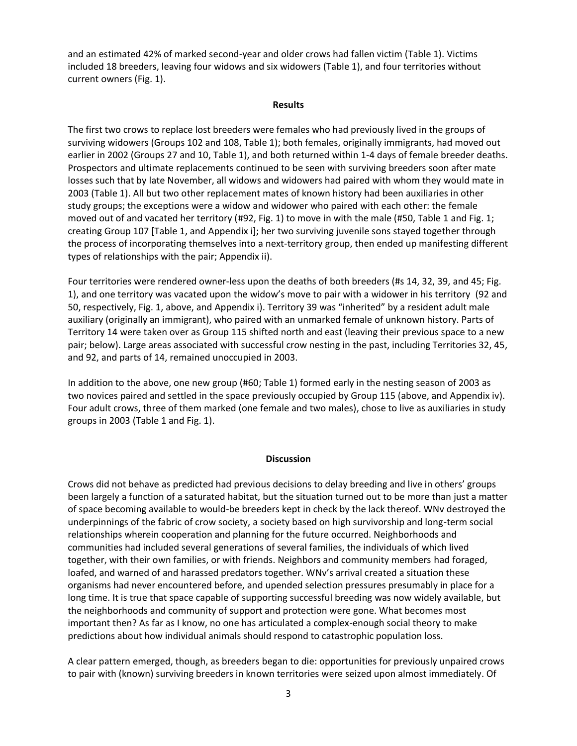and an estimated 42% of marked second-year and older crows had fallen victim (Table 1). Victims included 18 breeders, leaving four widows and six widowers (Table 1), and four territories without current owners (Fig. 1).

#### **Results**

The first two crows to replace lost breeders were females who had previously lived in the groups of surviving widowers (Groups 102 and 108, Table 1); both females, originally immigrants, had moved out earlier in 2002 (Groups 27 and 10, Table 1), and both returned within 1-4 days of female breeder deaths. Prospectors and ultimate replacements continued to be seen with surviving breeders soon after mate losses such that by late November, all widows and widowers had paired with whom they would mate in 2003 (Table 1). All but two other replacement mates of known history had been auxiliaries in other study groups; the exceptions were a widow and widower who paired with each other: the female moved out of and vacated her territory (#92, Fig. 1) to move in with the male (#50, Table 1 and Fig. 1; creating Group 107 [Table 1, and Appendix i]; her two surviving juvenile sons stayed together through the process of incorporating themselves into a next-territory group, then ended up manifesting different types of relationships with the pair; Appendix ii).

Four territories were rendered owner-less upon the deaths of both breeders (#s 14, 32, 39, and 45; Fig. 1), and one territory was vacated upon the widow's move to pair with a widower in his territory (92 and 50, respectively, Fig. 1, above, and Appendix i). Territory 39 was "inherited" by a resident adult male auxiliary (originally an immigrant), who paired with an unmarked female of unknown history. Parts of Territory 14 were taken over as Group 115 shifted north and east (leaving their previous space to a new pair; below). Large areas associated with successful crow nesting in the past, including Territories 32, 45, and 92, and parts of 14, remained unoccupied in 2003.

In addition to the above, one new group (#60; Table 1) formed early in the nesting season of 2003 as two novices paired and settled in the space previously occupied by Group 115 (above, and Appendix iv). Four adult crows, three of them marked (one female and two males), chose to live as auxiliaries in study groups in 2003 (Table 1 and Fig. 1).

## **Discussion**

Crows did not behave as predicted had previous decisions to delay breeding and live in others' groups been largely a function of a saturated habitat, but the situation turned out to be more than just a matter of space becoming available to would-be breeders kept in check by the lack thereof. WNv destroyed the underpinnings of the fabric of crow society, a society based on high survivorship and long-term social relationships wherein cooperation and planning for the future occurred. Neighborhoods and communities had included several generations of several families, the individuals of which lived together, with their own families, or with friends. Neighbors and community members had foraged, loafed, and warned of and harassed predators together. WNv's arrival created a situation these organisms had never encountered before, and upended selection pressures presumably in place for a long time. It is true that space capable of supporting successful breeding was now widely available, but the neighborhoods and community of support and protection were gone. What becomes most important then? As far as I know, no one has articulated a complex-enough social theory to make predictions about how individual animals should respond to catastrophic population loss.

A clear pattern emerged, though, as breeders began to die: opportunities for previously unpaired crows to pair with (known) surviving breeders in known territories were seized upon almost immediately. Of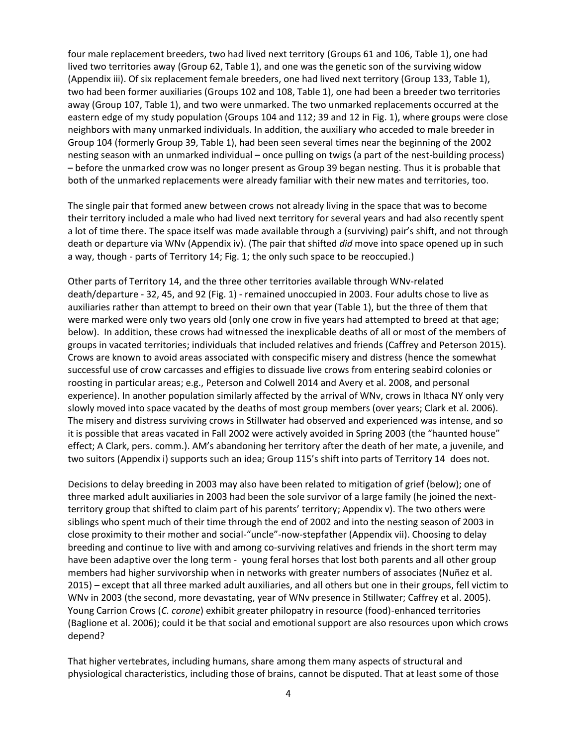four male replacement breeders, two had lived next territory (Groups 61 and 106, Table 1), one had lived two territories away (Group 62, Table 1), and one was the genetic son of the surviving widow (Appendix iii). Of six replacement female breeders, one had lived next territory (Group 133, Table 1), two had been former auxiliaries (Groups 102 and 108, Table 1), one had been a breeder two territories away (Group 107, Table 1), and two were unmarked. The two unmarked replacements occurred at the eastern edge of my study population (Groups 104 and 112; 39 and 12 in Fig. 1), where groups were close neighbors with many unmarked individuals. In addition, the auxiliary who acceded to male breeder in Group 104 (formerly Group 39, Table 1), had been seen several times near the beginning of the 2002 nesting season with an unmarked individual – once pulling on twigs (a part of the nest-building process) – before the unmarked crow was no longer present as Group 39 began nesting. Thus it is probable that both of the unmarked replacements were already familiar with their new mates and territories, too.

The single pair that formed anew between crows not already living in the space that was to become their territory included a male who had lived next territory for several years and had also recently spent a lot of time there. The space itself was made available through a (surviving) pair's shift, and not through death or departure via WNv (Appendix iv). (The pair that shifted *did* move into space opened up in such a way, though - parts of Territory 14; Fig. 1; the only such space to be reoccupied.)

Other parts of Territory 14, and the three other territories available through WNv-related death/departure - 32, 45, and 92 (Fig. 1) - remained unoccupied in 2003. Four adults chose to live as auxiliaries rather than attempt to breed on their own that year (Table 1), but the three of them that were marked were only two years old (only one crow in five years had attempted to breed at that age; below). In addition, these crows had witnessed the inexplicable deaths of all or most of the members of groups in vacated territories; individuals that included relatives and friends (Caffrey and Peterson 2015). Crows are known to avoid areas associated with conspecific misery and distress (hence the somewhat successful use of crow carcasses and effigies to dissuade live crows from entering seabird colonies or roosting in particular areas; e.g., Peterson and Colwell 2014 and Avery et al. 2008, and personal experience). In another population similarly affected by the arrival of WNv, crows in Ithaca NY only very slowly moved into space vacated by the deaths of most group members (over years; Clark et al. 2006). The misery and distress surviving crows in Stillwater had observed and experienced was intense, and so it is possible that areas vacated in Fall 2002 were actively avoided in Spring 2003 (the "haunted house" effect; A Clark, pers. comm.). AM's abandoning her territory after the death of her mate, a juvenile, and two suitors (Appendix i) supports such an idea; Group 115's shift into parts of Territory 14 does not.

Decisions to delay breeding in 2003 may also have been related to mitigation of grief (below); one of three marked adult auxiliaries in 2003 had been the sole survivor of a large family (he joined the nextterritory group that shifted to claim part of his parents' territory; Appendix v). The two others were siblings who spent much of their time through the end of 2002 and into the nesting season of 2003 in close proximity to their mother and social-"uncle"-now-stepfather (Appendix vii). Choosing to delay breeding and continue to live with and among co-surviving relatives and friends in the short term may have been adaptive over the long term - young feral horses that lost both parents and all other group members had higher survivorship when in networks with greater numbers of associates (Nuñez et al. 2015) – except that all three marked adult auxiliaries, and all others but one in their groups, fell victim to WNv in 2003 (the second, more devastating, year of WNv presence in Stillwater; Caffrey et al. 2005). Young Carrion Crows (*C. corone*) exhibit greater philopatry in resource (food)-enhanced territories (Baglione et al. 2006); could it be that social and emotional support are also resources upon which crows depend?

That higher vertebrates, including humans, share among them many aspects of structural and physiological characteristics, including those of brains, cannot be disputed. That at least some of those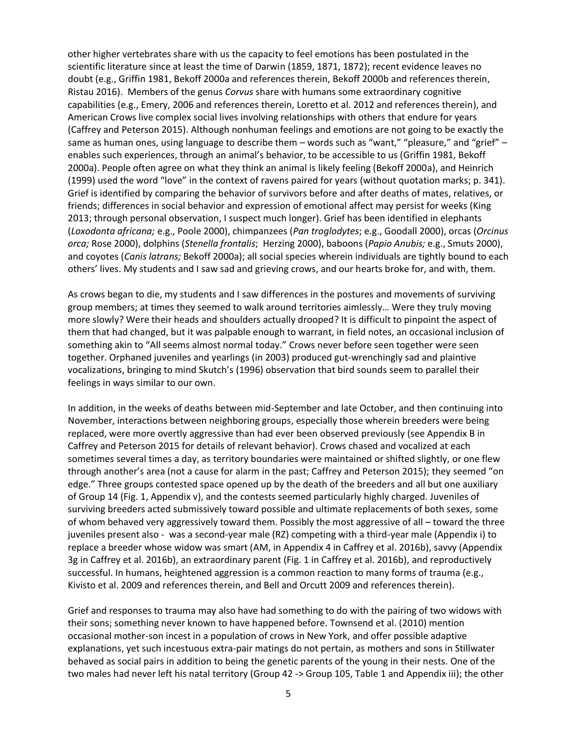other higher vertebrates share with us the capacity to feel emotions has been postulated in the scientific literature since at least the time of Darwin (1859, 1871, 1872); recent evidence leaves no doubt (e.g., Griffin 1981, Bekoff 2000a and references therein, Bekoff 2000b and references therein, Ristau 2016). Members of the genus *Corvus* share with humans some extraordinary cognitive capabilities (e.g., Emery, 2006 and references therein, Loretto et al. 2012 and references therein), and American Crows live complex social lives involving relationships with others that endure for years (Caffrey and Peterson 2015). Although nonhuman feelings and emotions are not going to be exactly the same as human ones, using language to describe them – words such as "want," "pleasure," and "grief" – enables such experiences, through an animal's behavior, to be accessible to us (Griffin 1981, Bekoff 2000a). People often agree on what they think an animal is likely feeling (Bekoff 2000a), and Heinrich (1999) used the word "love" in the context of ravens paired for years (without quotation marks; p. 341). Grief is identified by comparing the behavior of survivors before and after deaths of mates, relatives, or friends; differences in social behavior and expression of emotional affect may persist for weeks (King 2013; through personal observation, I suspect much longer). Grief has been identified in elephants (*Loxodonta africana;* e.g., Poole 2000), chimpanzees (*Pan troglodytes*; e.g., Goodall 2000), orcas (*Orcinus orca;* Rose 2000), dolphins (*Stenella frontalis*; Herzing 2000), baboons (*Papio Anubis;* e.g., Smuts 2000), and coyotes (*Canis latrans;* Bekoff 2000a); all social species wherein individuals are tightly bound to each others' lives. My students and I saw sad and grieving crows, and our hearts broke for, and with, them.

As crows began to die, my students and I saw differences in the postures and movements of surviving group members; at times they seemed to walk around territories aimlessly… Were they truly moving more slowly? Were their heads and shoulders actually drooped? It is difficult to pinpoint the aspect of them that had changed, but it was palpable enough to warrant, in field notes, an occasional inclusion of something akin to "All seems almost normal today." Crows never before seen together were seen together. Orphaned juveniles and yearlings (in 2003) produced gut-wrenchingly sad and plaintive vocalizations, bringing to mind Skutch's (1996) observation that bird sounds seem to parallel their feelings in ways similar to our own.

In addition, in the weeks of deaths between mid-September and late October, and then continuing into November, interactions between neighboring groups, especially those wherein breeders were being replaced, were more overtly aggressive than had ever been observed previously (see Appendix B in Caffrey and Peterson 2015 for details of relevant behavior). Crows chased and vocalized at each sometimes several times a day, as territory boundaries were maintained or shifted slightly, or one flew through another's area (not a cause for alarm in the past; Caffrey and Peterson 2015); they seemed "on edge." Three groups contested space opened up by the death of the breeders and all but one auxiliary of Group 14 (Fig. 1, Appendix v), and the contests seemed particularly highly charged. Juveniles of surviving breeders acted submissively toward possible and ultimate replacements of both sexes, some of whom behaved very aggressively toward them. Possibly the most aggressive of all – toward the three juveniles present also - was a second-year male (RZ) competing with a third-year male (Appendix i) to replace a breeder whose widow was smart (AM, in Appendix 4 in Caffrey et al. 2016b), savvy (Appendix 3g in Caffrey et al. 2016b), an extraordinary parent (Fig. 1 in Caffrey et al. 2016b), and reproductively successful. In humans, heightened aggression is a common reaction to many forms of trauma (e.g., Kivisto et al. 2009 and references therein, and Bell and Orcutt 2009 and references therein).

Grief and responses to trauma may also have had something to do with the pairing of two widows with their sons; something never known to have happened before. Townsend et al. (2010) mention occasional mother-son incest in a population of crows in New York, and offer possible adaptive explanations, yet such incestuous extra-pair matings do not pertain, as mothers and sons in Stillwater behaved as social pairs in addition to being the genetic parents of the young in their nests. One of the two males had never left his natal territory (Group 42 -> Group 105, Table 1 and Appendix iii); the other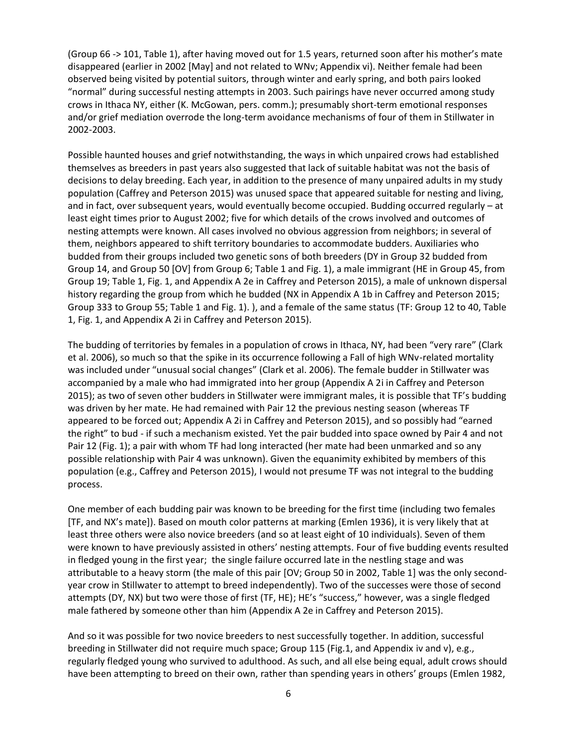(Group 66 -> 101, Table 1), after having moved out for 1.5 years, returned soon after his mother's mate disappeared (earlier in 2002 [May] and not related to WNv; Appendix vi). Neither female had been observed being visited by potential suitors, through winter and early spring, and both pairs looked "normal" during successful nesting attempts in 2003. Such pairings have never occurred among study crows in Ithaca NY, either (K. McGowan, pers. comm.); presumably short-term emotional responses and/or grief mediation overrode the long-term avoidance mechanisms of four of them in Stillwater in 2002-2003.

Possible haunted houses and grief notwithstanding, the ways in which unpaired crows had established themselves as breeders in past years also suggested that lack of suitable habitat was not the basis of decisions to delay breeding. Each year, in addition to the presence of many unpaired adults in my study population (Caffrey and Peterson 2015) was unused space that appeared suitable for nesting and living, and in fact, over subsequent years, would eventually become occupied. Budding occurred regularly – at least eight times prior to August 2002; five for which details of the crows involved and outcomes of nesting attempts were known. All cases involved no obvious aggression from neighbors; in several of them, neighbors appeared to shift territory boundaries to accommodate budders. Auxiliaries who budded from their groups included two genetic sons of both breeders (DY in Group 32 budded from Group 14, and Group 50 [OV] from Group 6; Table 1 and Fig. 1), a male immigrant (HE in Group 45, from Group 19; Table 1, Fig. 1, and Appendix A 2e in Caffrey and Peterson 2015), a male of unknown dispersal history regarding the group from which he budded (NX in Appendix A 1b in Caffrey and Peterson 2015; Group 333 to Group 55; Table 1 and Fig. 1). ), and a female of the same status (TF: Group 12 to 40, Table 1, Fig. 1, and Appendix A 2i in Caffrey and Peterson 2015).

The budding of territories by females in a population of crows in Ithaca, NY, had been "very rare" (Clark et al. 2006), so much so that the spike in its occurrence following a Fall of high WNv-related mortality was included under "unusual social changes" (Clark et al. 2006). The female budder in Stillwater was accompanied by a male who had immigrated into her group (Appendix A 2i in Caffrey and Peterson 2015); as two of seven other budders in Stillwater were immigrant males, it is possible that TF's budding was driven by her mate. He had remained with Pair 12 the previous nesting season (whereas TF appeared to be forced out; Appendix A 2i in Caffrey and Peterson 2015), and so possibly had "earned the right" to bud - if such a mechanism existed. Yet the pair budded into space owned by Pair 4 and not Pair 12 (Fig. 1); a pair with whom TF had long interacted (her mate had been unmarked and so any possible relationship with Pair 4 was unknown). Given the equanimity exhibited by members of this population (e.g., Caffrey and Peterson 2015), I would not presume TF was not integral to the budding process.

One member of each budding pair was known to be breeding for the first time (including two females [TF, and NX's mate]). Based on mouth color patterns at marking (Emlen 1936), it is very likely that at least three others were also novice breeders (and so at least eight of 10 individuals). Seven of them were known to have previously assisted in others' nesting attempts. Four of five budding events resulted in fledged young in the first year; the single failure occurred late in the nestling stage and was attributable to a heavy storm (the male of this pair [OV; Group 50 in 2002, Table 1] was the only secondyear crow in Stillwater to attempt to breed independently). Two of the successes were those of second attempts (DY, NX) but two were those of first (TF, HE); HE's "success," however, was a single fledged male fathered by someone other than him (Appendix A 2e in Caffrey and Peterson 2015).

And so it was possible for two novice breeders to nest successfully together. In addition, successful breeding in Stillwater did not require much space; Group 115 (Fig.1, and Appendix iv and v), e.g., regularly fledged young who survived to adulthood. As such, and all else being equal, adult crows should have been attempting to breed on their own, rather than spending years in others' groups (Emlen 1982,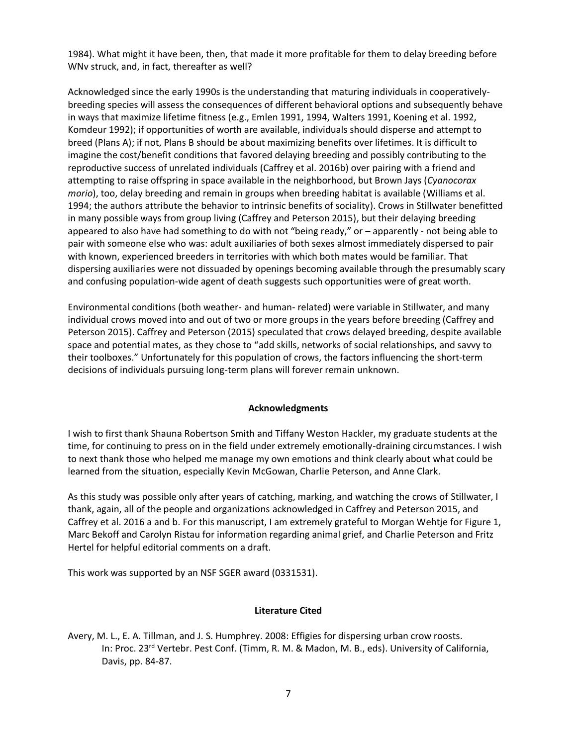1984). What might it have been, then, that made it more profitable for them to delay breeding before WNv struck, and, in fact, thereafter as well?

Acknowledged since the early 1990s is the understanding that maturing individuals in cooperativelybreeding species will assess the consequences of different behavioral options and subsequently behave in ways that maximize lifetime fitness (e.g., Emlen 1991, 1994, Walters 1991, Koening et al. 1992, Komdeur 1992); if opportunities of worth are available, individuals should disperse and attempt to breed (Plans A); if not, Plans B should be about maximizing benefits over lifetimes. It is difficult to imagine the cost/benefit conditions that favored delaying breeding and possibly contributing to the reproductive success of unrelated individuals (Caffrey et al. 2016b) over pairing with a friend and attempting to raise offspring in space available in the neighborhood, but Brown Jays (*Cyanocorax morio*), too, delay breeding and remain in groups when breeding habitat is available (Williams et al. 1994; the authors attribute the behavior to intrinsic benefits of sociality). Crows in Stillwater benefitted in many possible ways from group living (Caffrey and Peterson 2015), but their delaying breeding appeared to also have had something to do with not "being ready," or – apparently - not being able to pair with someone else who was: adult auxiliaries of both sexes almost immediately dispersed to pair with known, experienced breeders in territories with which both mates would be familiar. That dispersing auxiliaries were not dissuaded by openings becoming available through the presumably scary and confusing population-wide agent of death suggests such opportunities were of great worth.

Environmental conditions (both weather- and human- related) were variable in Stillwater, and many individual crows moved into and out of two or more groups in the years before breeding (Caffrey and Peterson 2015). Caffrey and Peterson (2015) speculated that crows delayed breeding, despite available space and potential mates, as they chose to "add skills, networks of social relationships, and savvy to their toolboxes." Unfortunately for this population of crows, the factors influencing the short-term decisions of individuals pursuing long-term plans will forever remain unknown.

## **Acknowledgments**

I wish to first thank Shauna Robertson Smith and Tiffany Weston Hackler, my graduate students at the time, for continuing to press on in the field under extremely emotionally-draining circumstances. I wish to next thank those who helped me manage my own emotions and think clearly about what could be learned from the situation, especially Kevin McGowan, Charlie Peterson, and Anne Clark.

As this study was possible only after years of catching, marking, and watching the crows of Stillwater, I thank, again, all of the people and organizations acknowledged in Caffrey and Peterson 2015, and Caffrey et al. 2016 a and b. For this manuscript, I am extremely grateful to Morgan Wehtje for Figure 1, Marc Bekoff and Carolyn Ristau for information regarding animal grief, and Charlie Peterson and Fritz Hertel for helpful editorial comments on a draft.

This work was supported by an NSF SGER award (0331531).

#### **Literature Cited**

Avery, M. L., E. A. Tillman, and J. S. Humphrey. 2008: Effigies for dispersing urban crow roosts. In: Proc. 23<sup>rd</sup> Vertebr. Pest Conf. (Timm, R. M. & Madon, M. B., eds). University of California, Davis, pp. 84-87.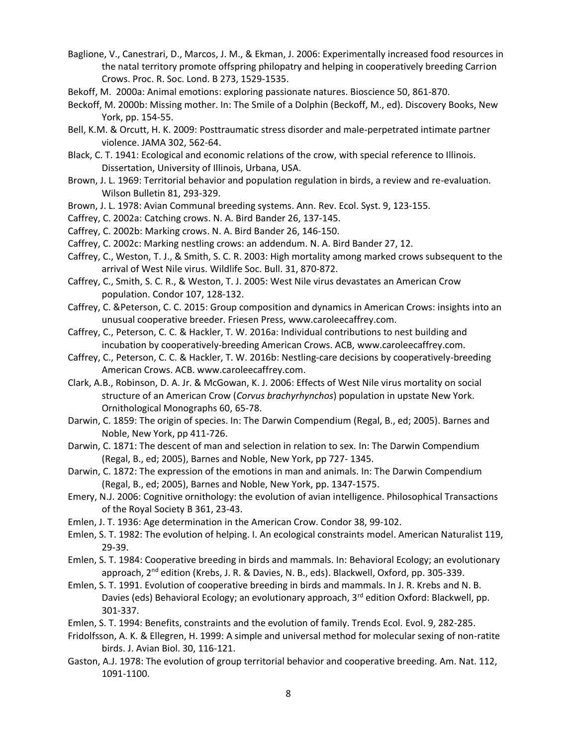- Baglione, V., Canestrari, D., Marcos, J. M., & Ekman, J. 2006: Experimentally increased food resources in the natal territory promote offspring philopatry and helping in cooperatively breeding Carrion Crows. Proc. R. Soc. Lond. B 273, 1529-1535.
- Bekoff, M. 2000a: Animal emotions: exploring passionate natures. Bioscience 50, 861-870.
- Beckoff, M. 2000b: Missing mother. In: The Smile of a Dolphin (Beckoff, M., ed). Discovery Books, New York, pp. 154-55.
- Bell, K.M. & Orcutt, H. K. 2009: Posttraumatic stress disorder and male-perpetrated intimate partner violence. JAMA 302, 562-64.
- Black, C. T. 1941: Ecological and economic relations of the crow, with special reference to Illinois. Dissertation, University of Illinois, Urbana, USA.
- Brown, J. L. 1969: Territorial behavior and population regulation in birds, a review and re-evaluation. Wilson Bulletin 81, 293-329.
- Brown, J. L. 1978: Avian Communal breeding systems. Ann. Rev. Ecol. Syst. 9, 123-155.
- Caffrey, C. 2002a: Catching crows. N. A. Bird Bander 26, 137-145.
- Caffrey, C. 2002b: Marking crows. N. A. Bird Bander 26, 146-150.
- Caffrey, C. 2002c: Marking nestling crows: an addendum. N. A. Bird Bander 27, 12.
- Caffrey, C., Weston, T. J., & Smith, S. C. R. 2003: High mortality among marked crows subsequent to the arrival of West Nile virus. Wildlife Soc. Bull. 31, 870-872.
- Caffrey, C., Smith, S. C. R., & Weston, T. J. 2005: West Nile virus devastates an American Crow population. Condor 107, 128-132.
- Caffrey, C. &Peterson, C. C. 2015: Group composition and dynamics in American Crows: insights into an unusual cooperative breeder. Friesen Press, www.caroleecaffrey.com.
- Caffrey, C., Peterson, C. C. & Hackler, T. W. 2016a: Individual contributions to nest building and incubation by cooperatively-breeding American Crows. ACB, www.caroleecaffrey.com.
- Caffrey, C., Peterson, C. C. & Hackler, T. W. 2016b: Nestling-care decisions by cooperatively-breeding American Crows. ACB. www.caroleecaffrey.com.
- Clark, A.B., Robinson, D. A. Jr. & McGowan, K. J. 2006: Effects of West Nile virus mortality on social structure of an American Crow (*Corvus brachyrhynchos*) population in upstate New York. Ornithological Monographs 60, 65-78.
- Darwin, C. 1859: The origin of species. In: The Darwin Compendium (Regal, B., ed; 2005). Barnes and Noble, New York, pp 411-726.
- Darwin, C. 1871: The descent of man and selection in relation to sex. In: The Darwin Compendium (Regal, B., ed; 2005), Barnes and Noble, New York, pp 727- 1345.
- Darwin, C. 1872: The expression of the emotions in man and animals. In: The Darwin Compendium (Regal, B., ed; 2005), Barnes and Noble, New York, pp. 1347-1575.
- Emery, N.J. 2006: Cognitive ornithology: the evolution of avian intelligence. Philosophical Transactions of the Royal Society B 361, 23-43.
- Emlen, J. T. 1936: Age determination in the American Crow. Condor 38, 99-102.
- Emlen, S. T. 1982: The evolution of helping. I. An ecological constraints model. American Naturalist 119, 29-39.
- Emlen, S. T. 1984: Cooperative breeding in birds and mammals. In: Behavioral Ecology; an evolutionary approach, 2<sup>nd</sup> edition (Krebs, J. R. & Davies, N. B., eds). Blackwell, Oxford, pp. 305-339.
- Emlen, S. T. 1991. Evolution of cooperative breeding in birds and mammals. In J. R. Krebs and N. B. Davies (eds) Behavioral Ecology; an evolutionary approach, 3<sup>rd</sup> edition Oxford: Blackwell, pp. 301-337.
- Emlen, S. T. 1994: Benefits, constraints and the evolution of family. Trends Ecol. Evol. 9, 282-285.
- Fridolfsson, A. K. & Ellegren, H. 1999: A simple and universal method for molecular sexing of non-ratite birds. J. Avian Biol. 30, 116-121.
- Gaston, A.J. 1978: The evolution of group territorial behavior and cooperative breeding. Am. Nat. 112, 1091-1100.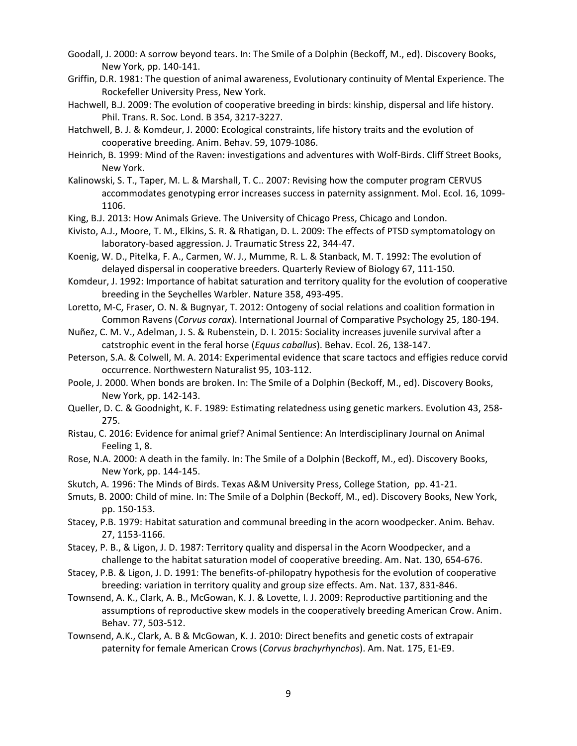- Goodall, J. 2000: A sorrow beyond tears. In: The Smile of a Dolphin (Beckoff, M., ed). Discovery Books, New York, pp. 140-141.
- Griffin, D.R. 1981: The question of animal awareness, Evolutionary continuity of Mental Experience. The Rockefeller University Press, New York.
- Hachwell, B.J. 2009: The evolution of cooperative breeding in birds: kinship, dispersal and life history. Phil. Trans. R. Soc. Lond. B 354, 3217-3227.
- Hatchwell, B. J. & Komdeur, J. 2000: Ecological constraints, life history traits and the evolution of cooperative breeding. Anim. Behav. 59, 1079-1086.
- Heinrich, B. 1999: Mind of the Raven: investigations and adventures with Wolf-Birds. Cliff Street Books, New York.
- Kalinowski, S. T., Taper, M. L. & Marshall, T. C.. 2007: Revising how the computer program CERVUS accommodates genotyping error increases success in paternity assignment. Mol. Ecol. 16, 1099- 1106.
- King, B.J. 2013: How Animals Grieve. The University of Chicago Press, Chicago and London.
- Kivisto, A.J., Moore, T. M., Elkins, S. R. & Rhatigan, D. L. 2009: The effects of PTSD symptomatology on laboratory-based aggression. J. Traumatic Stress 22, 344-47.
- Koenig, W. D., Pitelka, F. A., Carmen, W. J., Mumme, R. L. & Stanback, M. T. 1992: The evolution of delayed dispersal in cooperative breeders. Quarterly Review of Biology 67, 111-150.
- Komdeur, J. 1992: Importance of habitat saturation and territory quality for the evolution of cooperative breeding in the Seychelles Warbler. Nature 358, 493-495.
- Loretto, M-C, Fraser, O. N. & Bugnyar, T. 2012: Ontogeny of social relations and coalition formation in Common Ravens (*Corvus corax*). International Journal of Comparative Psychology 25, 180-194.
- Nuñez, C. M. V., Adelman, J. S. & Rubenstein, D. I. 2015: Sociality increases juvenile survival after a catstrophic event in the feral horse (*Equus caballus*). Behav. Ecol. 26, 138-147.
- Peterson, S.A. & Colwell, M. A. 2014: Experimental evidence that scare tactocs and effigies reduce corvid occurrence. Northwestern Naturalist 95, 103-112.
- Poole, J. 2000. When bonds are broken. In: The Smile of a Dolphin (Beckoff, M., ed). Discovery Books, New York, pp. 142-143.
- Queller, D. C. & Goodnight, K. F. 1989: Estimating relatedness using genetic markers. Evolution 43, 258- 275.
- Ristau, C. 2016: Evidence for animal grief? Animal Sentience: An Interdisciplinary Journal on Animal Feeling 1, 8.
- Rose, N.A. 2000: A death in the family. In: The Smile of a Dolphin (Beckoff, M., ed). Discovery Books, New York, pp. 144-145.
- Skutch, A. 1996: The Minds of Birds. Texas A&M University Press, College Station, pp. 41-21.
- Smuts, B. 2000: Child of mine. In: The Smile of a Dolphin (Beckoff, M., ed). Discovery Books, New York, pp. 150-153.
- Stacey, P.B. 1979: Habitat saturation and communal breeding in the acorn woodpecker. Anim. Behav. 27, 1153-1166.
- Stacey, P. B., & Ligon, J. D. 1987: Territory quality and dispersal in the Acorn Woodpecker, and a challenge to the habitat saturation model of cooperative breeding. Am. Nat. 130, 654-676.
- Stacey, P.B. & Ligon, J. D. 1991: The benefits-of-philopatry hypothesis for the evolution of cooperative breeding: variation in territory quality and group size effects. Am. Nat. 137, 831-846.
- Townsend, A. K., Clark, A. B., McGowan, K. J. & Lovette, I. J. 2009: Reproductive partitioning and the assumptions of reproductive skew models in the cooperatively breeding American Crow. Anim. Behav. 77, 503-512.
- Townsend, A.K., Clark, A. B & McGowan, K. J. 2010: Direct benefits and genetic costs of extrapair paternity for female American Crows (*Corvus brachyrhynchos*). Am. Nat. 175, E1-E9.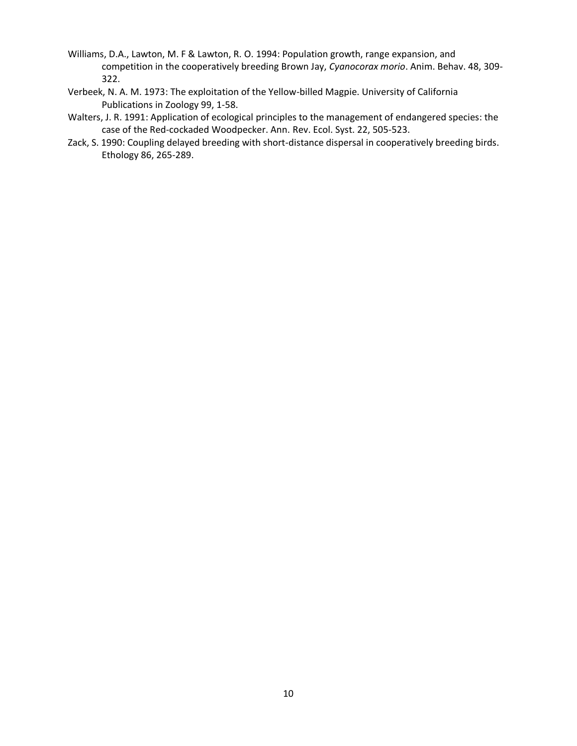- Williams, D.A., Lawton, M. F & Lawton, R. O. 1994: Population growth, range expansion, and competition in the cooperatively breeding Brown Jay, *Cyanocorax morio*. Anim. Behav. 48, 309- 322.
- Verbeek, N. A. M. 1973: The exploitation of the Yellow-billed Magpie. University of California Publications in Zoology 99, 1-58.
- Walters, J. R. 1991: Application of ecological principles to the management of endangered species: the case of the Red-cockaded Woodpecker. Ann. Rev. Ecol. Syst. 22, 505-523.
- Zack, S. 1990: Coupling delayed breeding with short-distance dispersal in cooperatively breeding birds. Ethology 86, 265-289.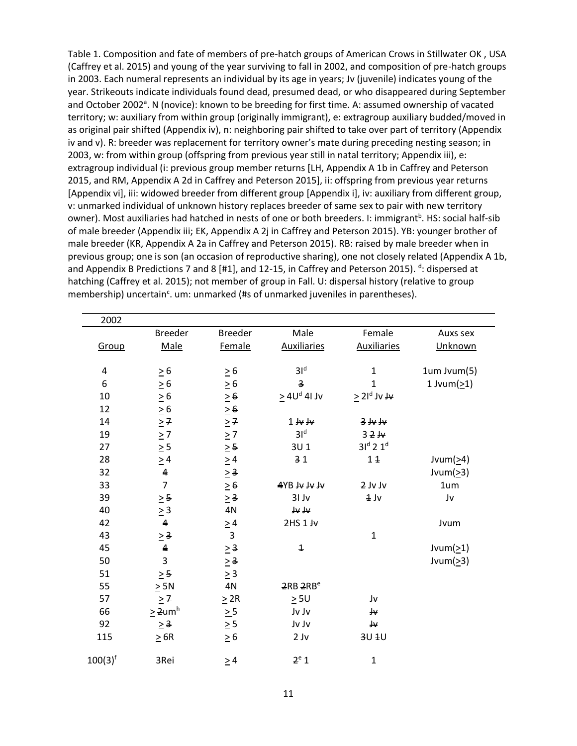Table 1. Composition and fate of members of pre-hatch groups of American Crows in Stillwater OK , USA (Caffrey et al. 2015) and young of the year surviving to fall in 2002, and composition of pre-hatch groups in 2003. Each numeral represents an individual by its age in years; Jv (juvenile) indicates young of the year. Strikeouts indicate individuals found dead, presumed dead, or who disappeared during September and October 2002<sup>a</sup>. N (novice): known to be breeding for first time. A: assumed ownership of vacated territory; w: auxiliary from within group (originally immigrant), e: extragroup auxiliary budded/moved in as original pair shifted (Appendix iv), n: neighboring pair shifted to take over part of territory (Appendix iv and v). R: breeder was replacement for territory owner's mate during preceding nesting season; in 2003, w: from within group (offspring from previous year still in natal territory; Appendix iii), e: extragroup individual (i: previous group member returns [LH, Appendix A 1b in Caffrey and Peterson 2015, and RM, Appendix A 2d in Caffrey and Peterson 2015], ii: offspring from previous year returns [Appendix vi], iii: widowed breeder from different group [Appendix i], iv: auxiliary from different group, v: unmarked individual of unknown history replaces breeder of same sex to pair with new territory owner). Most auxiliaries had hatched in nests of one or both breeders. I: immigrant<sup>b</sup>. HS: social half-sib of male breeder (Appendix iii; EK, Appendix A 2j in Caffrey and Peterson 2015). YB: younger brother of male breeder (KR, Appendix A 2a in Caffrey and Peterson 2015). RB: raised by male breeder when in previous group; one is son (an occasion of reproductive sharing), one not closely related (Appendix A 1b, and Appendix B Predictions 7 and 8 [#1], and 12-15, in Caffrey and Peterson 2015). <sup>d</sup>: dispersed at hatching (Caffrey et al. 2015); not member of group in Fall. U: dispersal history (relative to group membership) uncertain<sup>c</sup>. um: unmarked (#s of unmarked juveniles in parentheses).

| 2002         |                          |                         |                         |                    |                  |
|--------------|--------------------------|-------------------------|-------------------------|--------------------|------------------|
|              | <b>Breeder</b>           | <b>Breeder</b>          | Male                    | Female             | Auxs sex         |
| Group        | Male                     | Female                  | <b>Auxiliaries</b>      | <b>Auxiliaries</b> | Unknown          |
|              |                          |                         |                         |                    |                  |
| 4            | $\geq 6$                 | $\geq 6$                | 3I <sup>d</sup>         | $\mathbf{1}$       | 1um Jvum(5)      |
| 6            | $\geq 6$                 | $\geq 6$                | 3                       | $\mathbf{1}$       | 1 Jvum $(21)$    |
| 10           | $\geq 6$                 | $\geq 6$                | $\geq 4U^d$ 41 Jv       | $\geq 21^d$ Jv Jv  |                  |
| 12           | $\geq 6$                 | $\geq 6$                |                         |                    |                  |
| 14           | $\geq 7$                 | $\geq$ 7                | $1 \text{ W}$           | $3 + 4$            |                  |
| 19           | $\geq 7$<br>$\geq 5$     | $\geq 7$                | 31 <sup>d</sup>         | 32W                |                  |
| 27           |                          | $\geq$ 5                | 3U <sub>1</sub>         | $3Id$ 2 $1d$       |                  |
| 28           | $\geq 4$                 | $\geq 4$                | 31                      | 11                 | Jvum( $\geq 4$ ) |
| 32           | $\pmb{4}$                | $\geq 3$                |                         |                    | Jvum( $\geq$ 3)  |
| 33           | $\overline{7}$           | $\geq 6$                | <b>4YB JV JV JV</b>     | 2 Jv Jv            | 1um              |
| 39           | $\geq$ 5                 | $\geq$ 3                | 31 Jv                   | $1$ Jv             | Jv               |
| 40           | $\geq 3$                 | 4N                      | ہر ہر                   |                    |                  |
| 42           | $\overline{\mathbf{4}}$  | $\geq 4$                | 2HS1H                   |                    | Jvum             |
| 43           | $\geq$ 3                 | $\overline{\mathbf{3}}$ |                         | $\mathbf{1}$       |                  |
| 45           | $\pmb{4}$                | $\geq$ 3                | $\overline{\mathbf{1}}$ |                    | Jvum( $\geq$ 1)  |
| 50           | 3                        | $\geq$ 3                |                         |                    | Jvum $(≥3)$      |
| 51           | $\geq$ 5                 | $\geq$ 3                |                         |                    |                  |
| 55           | $\geq$ 5N                | $4\mathrm{N}$           | 2RB <sub>2RB</sub> e    |                    |                  |
| 57           | $\geq 7$                 | $\geq$ 2R               | $\geq$ 5U               | ₩                  |                  |
| 66           | $\geq 2$ um <sup>h</sup> | $\geq 5$                | Jv Jv                   | ٣                  |                  |
| 92           | $\geq$ 3                 | $\geq 5$                | Jv Jv                   | ₩                  |                  |
| 115          | $\geq$ 6R                | $\geq 6$                | $2$ J $v$               | 3U 1U              |                  |
| $100(3)^{f}$ | 3Rei                     | $\geq 4$                | 2 <sup>e</sup> 1        | $\mathbf 1$        |                  |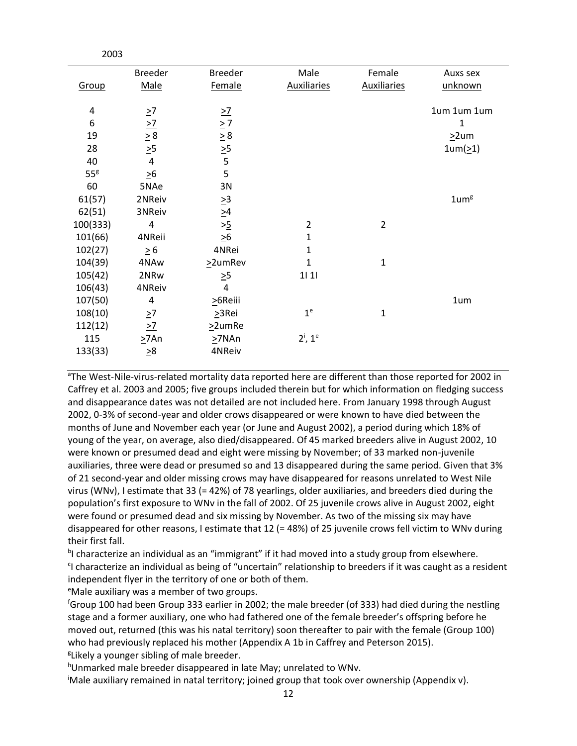|                 | <b>Breeder</b>                          | <b>Breeder</b>  | Male               | Female             | Auxs sex     |
|-----------------|-----------------------------------------|-----------------|--------------------|--------------------|--------------|
| Group           | Male                                    | Female          | <b>Auxiliaries</b> | <b>Auxiliaries</b> | unknown      |
|                 |                                         |                 |                    |                    |              |
| 4               | $\geq 7$                                | $\geq$          |                    |                    | 1um 1um 1um  |
| 6               |                                         | $\geq 7$        |                    |                    | $\mathbf{1}$ |
| 19              |                                         |                 |                    |                    | $\geq$ 2um   |
| 28              | $\frac{>7}{\geq 8}$ $\frac{>5}{\geq 5}$ | $\frac{2}{2}$   |                    |                    | 1um(21)      |
| 40              | $\overline{4}$                          | 5               |                    |                    |              |
| 55 <sup>g</sup> | $\geq 6$                                | 5               |                    |                    |              |
| 60              | 5NAe                                    | 3N              |                    |                    |              |
| 61(57)          | 2NReiv                                  | $\geq 3$        |                    |                    | $1$ um $8$   |
| 62(51)          | 3NReiv                                  |                 |                    |                    |              |
| 100(333)        | 4                                       | $\frac{>4}{>5}$ | $\overline{2}$     | $\overline{2}$     |              |
| 101(66)         | 4NReii                                  | $\geq 6$        | $\mathbf{1}$       |                    |              |
| 102(27)         | $\geq 6$                                | 4NRei           | $\mathbf{1}$       |                    |              |
| 104(39)         | 4NAw                                    | $22$ umRev      | $\mathbf{1}$       | $\mathbf{1}$       |              |
| 105(42)         | 2NRw                                    | $\geq 5$        | 111                |                    |              |
| 106(43)         | 4NReiv                                  | 4               |                    |                    |              |
| 107(50)         | 4                                       | $>6$ Reiii      |                    |                    | 1um          |
| 108(10)         | $\geq 7$                                | $\geq$ 3Rei     | 1 <sup>e</sup>     | $\mathbf{1}$       |              |
| 112(12)         | $\geq$ 7                                | $\geq$ 2umRe    |                    |                    |              |
| 115             | >7An                                    | $\geq$ 7NAn     | $2^i$ , $1^e$      |                    |              |
| 133(33)         | $\geq 8$                                | 4NReiv          |                    |                    |              |
|                 |                                         |                 |                    |                    |              |

<sup>a</sup>The West-Nile-virus-related mortality data reported here are different than those reported for 2002 in Caffrey et al. 2003 and 2005; five groups included therein but for which information on fledging success and disappearance dates was not detailed are not included here. From January 1998 through August 2002, 0-3% of second-year and older crows disappeared or were known to have died between the months of June and November each year (or June and August 2002), a period during which 18% of young of the year, on average, also died/disappeared. Of 45 marked breeders alive in August 2002, 10 were known or presumed dead and eight were missing by November; of 33 marked non-juvenile auxiliaries, three were dead or presumed so and 13 disappeared during the same period. Given that 3% of 21 second-year and older missing crows may have disappeared for reasons unrelated to West Nile virus (WNv), I estimate that 33 (= 42%) of 78 yearlings, older auxiliaries, and breeders died during the population's first exposure to WNv in the fall of 2002. Of 25 juvenile crows alive in August 2002, eight were found or presumed dead and six missing by November. As two of the missing six may have disappeared for other reasons, I estimate that 12 (= 48%) of 25 juvenile crows fell victim to WNv during their first fall.

<sup>b</sup>l characterize an individual as an "immigrant" if it had moved into a study group from elsewhere. <sup>c</sup>l characterize an individual as being of "uncertain" relationship to breeders if it was caught as a resident independent flyer in the territory of one or both of them.

<sup>e</sup>Male auxiliary was a member of two groups.

2003

<sup>f</sup>Group 100 had been Group 333 earlier in 2002; the male breeder (of 333) had died during the nestling stage and a former auxiliary, one who had fathered one of the female breeder's offspring before he moved out, returned (this was his natal territory) soon thereafter to pair with the female (Group 100) who had previously replaced his mother (Appendix A 1b in Caffrey and Peterson 2015). <sup>g</sup>Likely a younger sibling of male breeder.

hUnmarked male breeder disappeared in late May; unrelated to WNv.

iMale auxiliary remained in natal territory; joined group that took over ownership (Appendix v).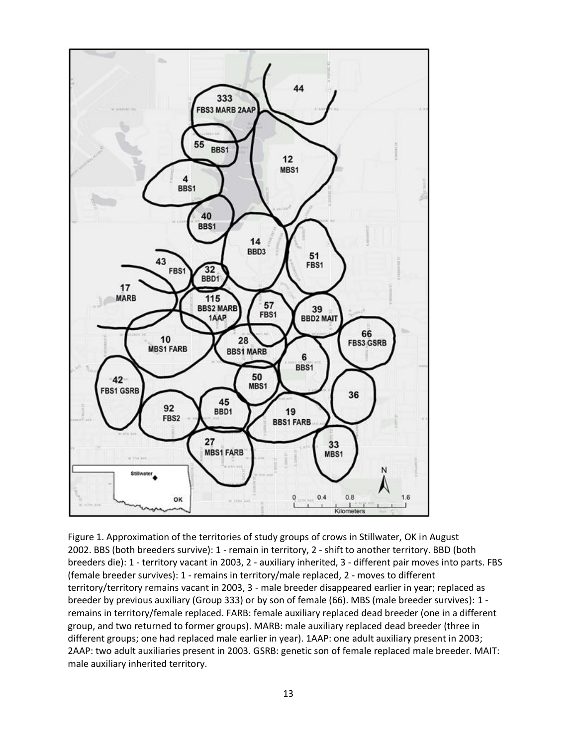

Figure 1. Approximation of the territories of study groups of crows in Stillwater, OK in August 2002. BBS (both breeders survive): 1 - remain in territory, 2 - shift to another territory. BBD (both breeders die): 1 - territory vacant in 2003, 2 - auxiliary inherited, 3 - different pair moves into parts. FBS (female breeder survives): 1 - remains in territory/male replaced, 2 - moves to different territory/territory remains vacant in 2003, 3 - male breeder disappeared earlier in year; replaced as breeder by previous auxiliary (Group 333) or by son of female (66). MBS (male breeder survives): 1 remains in territory/female replaced. FARB: female auxiliary replaced dead breeder (one in a different group, and two returned to former groups). MARB: male auxiliary replaced dead breeder (three in different groups; one had replaced male earlier in year). 1AAP: one adult auxiliary present in 2003; 2AAP: two adult auxiliaries present in 2003. GSRB: genetic son of female replaced male breeder. MAIT: male auxiliary inherited territory.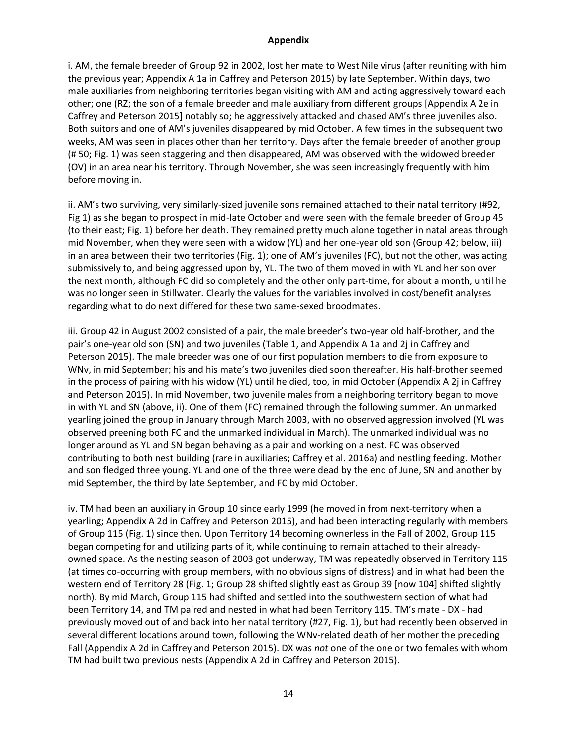## **Appendix**

i. AM, the female breeder of Group 92 in 2002, lost her mate to West Nile virus (after reuniting with him the previous year; Appendix A 1a in Caffrey and Peterson 2015) by late September. Within days, two male auxiliaries from neighboring territories began visiting with AM and acting aggressively toward each other; one (RZ; the son of a female breeder and male auxiliary from different groups [Appendix A 2e in Caffrey and Peterson 2015] notably so; he aggressively attacked and chased AM's three juveniles also. Both suitors and one of AM's juveniles disappeared by mid October. A few times in the subsequent two weeks, AM was seen in places other than her territory. Days after the female breeder of another group (# 50; Fig. 1) was seen staggering and then disappeared, AM was observed with the widowed breeder (OV) in an area near his territory. Through November, she was seen increasingly frequently with him before moving in.

ii. AM's two surviving, very similarly-sized juvenile sons remained attached to their natal territory (#92, Fig 1) as she began to prospect in mid-late October and were seen with the female breeder of Group 45 (to their east; Fig. 1) before her death. They remained pretty much alone together in natal areas through mid November, when they were seen with a widow (YL) and her one-year old son (Group 42; below, iii) in an area between their two territories (Fig. 1); one of AM's juveniles (FC), but not the other, was acting submissively to, and being aggressed upon by, YL. The two of them moved in with YL and her son over the next month, although FC did so completely and the other only part-time, for about a month, until he was no longer seen in Stillwater. Clearly the values for the variables involved in cost/benefit analyses regarding what to do next differed for these two same-sexed broodmates.

iii. Group 42 in August 2002 consisted of a pair, the male breeder's two-year old half-brother, and the pair's one-year old son (SN) and two juveniles (Table 1, and Appendix A 1a and 2j in Caffrey and Peterson 2015). The male breeder was one of our first population members to die from exposure to WNv, in mid September; his and his mate's two juveniles died soon thereafter. His half-brother seemed in the process of pairing with his widow (YL) until he died, too, in mid October (Appendix A 2j in Caffrey and Peterson 2015). In mid November, two juvenile males from a neighboring territory began to move in with YL and SN (above, ii). One of them (FC) remained through the following summer. An unmarked yearling joined the group in January through March 2003, with no observed aggression involved (YL was observed preening both FC and the unmarked individual in March). The unmarked individual was no longer around as YL and SN began behaving as a pair and working on a nest. FC was observed contributing to both nest building (rare in auxiliaries; Caffrey et al. 2016a) and nestling feeding. Mother and son fledged three young. YL and one of the three were dead by the end of June, SN and another by mid September, the third by late September, and FC by mid October.

iv. TM had been an auxiliary in Group 10 since early 1999 (he moved in from next-territory when a yearling; Appendix A 2d in Caffrey and Peterson 2015), and had been interacting regularly with members of Group 115 (Fig. 1) since then. Upon Territory 14 becoming ownerless in the Fall of 2002, Group 115 began competing for and utilizing parts of it, while continuing to remain attached to their alreadyowned space. As the nesting season of 2003 got underway, TM was repeatedly observed in Territory 115 (at times co-occurring with group members, with no obvious signs of distress) and in what had been the western end of Territory 28 (Fig. 1; Group 28 shifted slightly east as Group 39 [now 104] shifted slightly north). By mid March, Group 115 had shifted and settled into the southwestern section of what had been Territory 14, and TM paired and nested in what had been Territory 115. TM's mate - DX - had previously moved out of and back into her natal territory (#27, Fig. 1), but had recently been observed in several different locations around town, following the WNv-related death of her mother the preceding Fall (Appendix A 2d in Caffrey and Peterson 2015). DX was *not* one of the one or two females with whom TM had built two previous nests (Appendix A 2d in Caffrey and Peterson 2015).